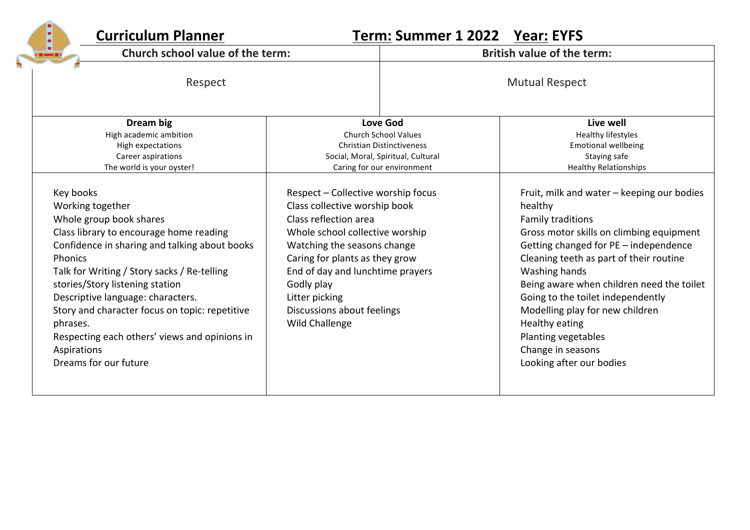| <b>Curriculum Planner</b><br>o<br>٥                                                                                                                                                                                                                                                                                                                                                                                                                  |                                                                                                                                                                                                                                                                                                                      |  | Term: Summer 1 2022 Year: EYFS                                                                                                                                                                                                                                                                                                                                                                                                                    |  |
|------------------------------------------------------------------------------------------------------------------------------------------------------------------------------------------------------------------------------------------------------------------------------------------------------------------------------------------------------------------------------------------------------------------------------------------------------|----------------------------------------------------------------------------------------------------------------------------------------------------------------------------------------------------------------------------------------------------------------------------------------------------------------------|--|---------------------------------------------------------------------------------------------------------------------------------------------------------------------------------------------------------------------------------------------------------------------------------------------------------------------------------------------------------------------------------------------------------------------------------------------------|--|
| $\frac{1}{2}$ $\frac{1}{2}$                                                                                                                                                                                                                                                                                                                                                                                                                          | Church school value of the term:                                                                                                                                                                                                                                                                                     |  | <b>British value of the term:</b>                                                                                                                                                                                                                                                                                                                                                                                                                 |  |
| Respect                                                                                                                                                                                                                                                                                                                                                                                                                                              |                                                                                                                                                                                                                                                                                                                      |  | <b>Mutual Respect</b>                                                                                                                                                                                                                                                                                                                                                                                                                             |  |
| Dream big<br>High academic ambition<br>High expectations<br>Career aspirations<br>The world is your oyster!                                                                                                                                                                                                                                                                                                                                          | <b>Love God</b><br><b>Church School Values</b><br><b>Christian Distinctiveness</b><br>Social, Moral, Spiritual, Cultural<br>Caring for our environment                                                                                                                                                               |  | Live well<br>Healthy lifestyles<br><b>Emotional wellbeing</b><br>Staying safe<br><b>Healthy Relationships</b>                                                                                                                                                                                                                                                                                                                                     |  |
| Key books<br>Working together<br>Whole group book shares<br>Class library to encourage home reading<br>Confidence in sharing and talking about books<br><b>Phonics</b><br>Talk for Writing / Story sacks / Re-telling<br>stories/Story listening station<br>Descriptive language: characters.<br>Story and character focus on topic: repetitive<br>phrases.<br>Respecting each others' views and opinions in<br>Aspirations<br>Dreams for our future | Respect - Collective worship focus<br>Class collective worship book<br>Class reflection area<br>Whole school collective worship<br>Watching the seasons change<br>Caring for plants as they grow<br>End of day and lunchtime prayers<br>Godly play<br>Litter picking<br>Discussions about feelings<br>Wild Challenge |  | Fruit, milk and water - keeping our bodies<br>healthy<br><b>Family traditions</b><br>Gross motor skills on climbing equipment<br>Getting changed for PE - independence<br>Cleaning teeth as part of their routine<br>Washing hands<br>Being aware when children need the toilet<br>Going to the toilet independently<br>Modelling play for new children<br>Healthy eating<br>Planting vegetables<br>Change in seasons<br>Looking after our bodies |  |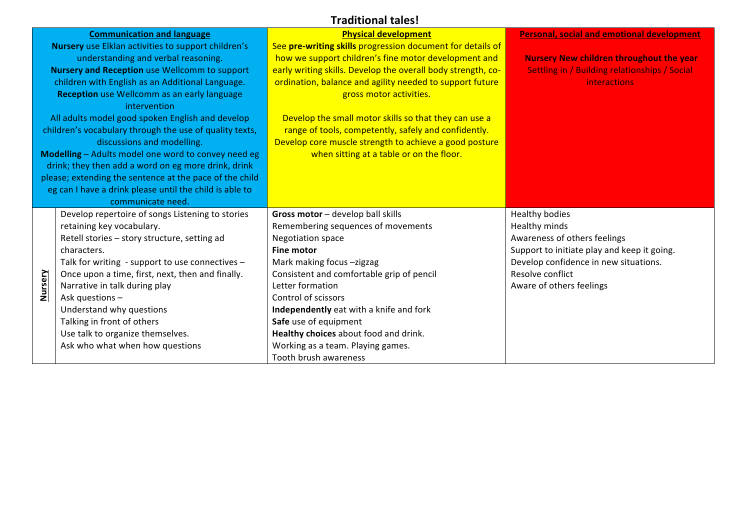## **Traditional tales!**

|                                                         | <b>Communication and language</b>                       | <b>Physical development</b>                                  | <b>Personal, social and emotional development</b> |
|---------------------------------------------------------|---------------------------------------------------------|--------------------------------------------------------------|---------------------------------------------------|
| Nursery use Elklan activities to support children's     |                                                         | See pre-writing skills progression document for details of   |                                                   |
| understanding and verbal reasoning.                     |                                                         | how we support children's fine motor development and         | <b>Nursery New children throughout the year</b>   |
|                                                         | <b>Nursery and Reception use Wellcomm to support</b>    | early writing skills. Develop the overall body strength, co- | Settling in / Building relationships / Social     |
|                                                         | children with English as an Additional Language.        | ordination, balance and agility needed to support future     | <b>interactions</b>                               |
|                                                         | <b>Reception</b> use Wellcomm as an early language      | gross motor activities.                                      |                                                   |
|                                                         | intervention                                            |                                                              |                                                   |
|                                                         | All adults model good spoken English and develop        | Develop the small motor skills so that they can use a        |                                                   |
| children's vocabulary through the use of quality texts, |                                                         | range of tools, competently, safely and confidently.         |                                                   |
|                                                         | discussions and modelling.                              | Develop core muscle strength to achieve a good posture       |                                                   |
|                                                         | Modelling - Adults model one word to convey need eg     | when sitting at a table or on the floor.                     |                                                   |
|                                                         | drink; they then add a word on eg more drink, drink     |                                                              |                                                   |
|                                                         | please; extending the sentence at the pace of the child |                                                              |                                                   |
|                                                         | eg can I have a drink please until the child is able to |                                                              |                                                   |
|                                                         | communicate need.                                       |                                                              |                                                   |
|                                                         | Develop repertoire of songs Listening to stories        | Gross motor - develop ball skills                            | Healthy bodies                                    |
|                                                         | retaining key vocabulary.                               | Remembering sequences of movements                           | Healthy minds                                     |
|                                                         | Retell stories - story structure, setting ad            | <b>Negotiation space</b>                                     | Awareness of others feelings                      |
|                                                         | characters.                                             | <b>Fine motor</b>                                            | Support to initiate play and keep it going.       |
|                                                         | Talk for writing - support to use connectives -         | Mark making focus -zigzag                                    | Develop confidence in new situations.             |
|                                                         | Once upon a time, first, next, then and finally.        | Consistent and comfortable grip of pencil                    | Resolve conflict                                  |
| Nursery                                                 | Narrative in talk during play                           | Letter formation                                             | Aware of others feelings                          |
|                                                         | Ask questions -                                         | Control of scissors                                          |                                                   |
|                                                         | Understand why questions                                | Independently eat with a knife and fork                      |                                                   |
|                                                         | Talking in front of others                              | Safe use of equipment                                        |                                                   |
|                                                         | Use talk to organize themselves.                        | Healthy choices about food and drink.                        |                                                   |
|                                                         | Ask who what when how questions                         | Working as a team. Playing games.                            |                                                   |
|                                                         |                                                         | Tooth brush awareness                                        |                                                   |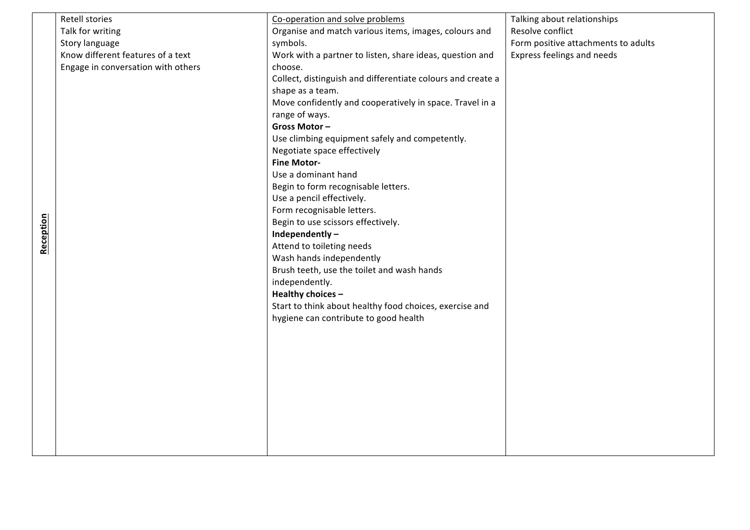|           | Retell stories                     | Co-operation and solve problems                             | Talking about relationships         |
|-----------|------------------------------------|-------------------------------------------------------------|-------------------------------------|
|           | Talk for writing                   | Organise and match various items, images, colours and       | Resolve conflict                    |
|           | Story language                     | symbols.                                                    | Form positive attachments to adults |
|           | Know different features of a text  | Work with a partner to listen, share ideas, question and    | Express feelings and needs          |
|           | Engage in conversation with others | choose.                                                     |                                     |
|           |                                    | Collect, distinguish and differentiate colours and create a |                                     |
|           |                                    | shape as a team.                                            |                                     |
|           |                                    | Move confidently and cooperatively in space. Travel in a    |                                     |
|           |                                    | range of ways.                                              |                                     |
|           |                                    | Gross Motor-                                                |                                     |
|           |                                    | Use climbing equipment safely and competently.              |                                     |
|           |                                    | Negotiate space effectively                                 |                                     |
|           |                                    | <b>Fine Motor-</b>                                          |                                     |
|           |                                    | Use a dominant hand                                         |                                     |
|           |                                    | Begin to form recognisable letters.                         |                                     |
|           |                                    | Use a pencil effectively.                                   |                                     |
|           |                                    | Form recognisable letters.                                  |                                     |
|           |                                    | Begin to use scissors effectively.                          |                                     |
| Reception |                                    | Independently-                                              |                                     |
|           |                                    | Attend to toileting needs                                   |                                     |
|           |                                    | Wash hands independently                                    |                                     |
|           |                                    | Brush teeth, use the toilet and wash hands                  |                                     |
|           |                                    | independently.                                              |                                     |
|           |                                    | Healthy choices -                                           |                                     |
|           |                                    | Start to think about healthy food choices, exercise and     |                                     |
|           |                                    | hygiene can contribute to good health                       |                                     |
|           |                                    |                                                             |                                     |
|           |                                    |                                                             |                                     |
|           |                                    |                                                             |                                     |
|           |                                    |                                                             |                                     |
|           |                                    |                                                             |                                     |
|           |                                    |                                                             |                                     |
|           |                                    |                                                             |                                     |
|           |                                    |                                                             |                                     |
|           |                                    |                                                             |                                     |
|           |                                    |                                                             |                                     |
|           |                                    |                                                             |                                     |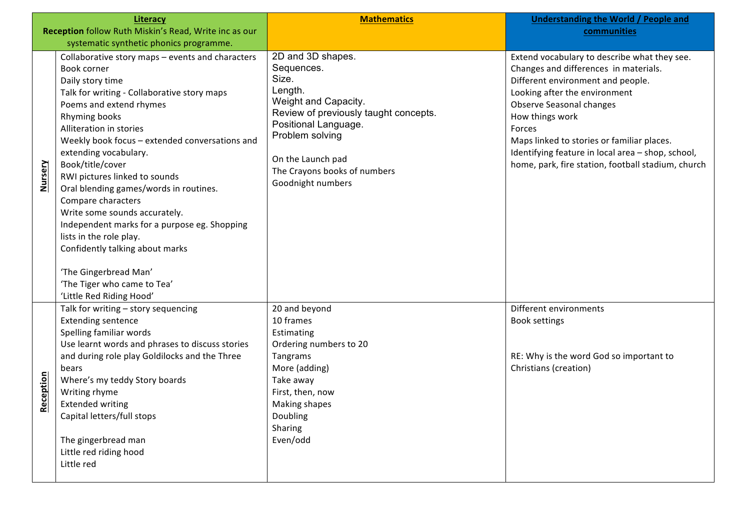|           | <b>Literacy</b>                                                                                                                                                                                                                                                                                                                                                                                                                                                                                                                                                                                                                              | <b>Mathematics</b>                                                                                                                                                                                                                        | <b>Understanding the World / People and</b>                                                                                                                                                                                                                                                                                                                                   |
|-----------|----------------------------------------------------------------------------------------------------------------------------------------------------------------------------------------------------------------------------------------------------------------------------------------------------------------------------------------------------------------------------------------------------------------------------------------------------------------------------------------------------------------------------------------------------------------------------------------------------------------------------------------------|-------------------------------------------------------------------------------------------------------------------------------------------------------------------------------------------------------------------------------------------|-------------------------------------------------------------------------------------------------------------------------------------------------------------------------------------------------------------------------------------------------------------------------------------------------------------------------------------------------------------------------------|
|           | Reception follow Ruth Miskin's Read, Write inc as our                                                                                                                                                                                                                                                                                                                                                                                                                                                                                                                                                                                        |                                                                                                                                                                                                                                           | communities                                                                                                                                                                                                                                                                                                                                                                   |
|           | systematic synthetic phonics programme.                                                                                                                                                                                                                                                                                                                                                                                                                                                                                                                                                                                                      |                                                                                                                                                                                                                                           |                                                                                                                                                                                                                                                                                                                                                                               |
| Nursery   | Collaborative story maps - events and characters<br>Book corner<br>Daily story time<br>Talk for writing - Collaborative story maps<br>Poems and extend rhymes<br>Rhyming books<br>Alliteration in stories<br>Weekly book focus - extended conversations and<br>extending vocabulary.<br>Book/title/cover<br>RWI pictures linked to sounds<br>Oral blending games/words in routines.<br>Compare characters<br>Write some sounds accurately.<br>Independent marks for a purpose eg. Shopping<br>lists in the role play.<br>Confidently talking about marks<br>'The Gingerbread Man'<br>'The Tiger who came to Tea'<br>'Little Red Riding Hood' | 2D and 3D shapes.<br>Sequences.<br>Size.<br>Length.<br>Weight and Capacity.<br>Review of previously taught concepts.<br>Positional Language.<br>Problem solving<br>On the Launch pad<br>The Crayons books of numbers<br>Goodnight numbers | Extend vocabulary to describe what they see.<br>Changes and differences in materials.<br>Different environment and people.<br>Looking after the environment<br>Observe Seasonal changes<br>How things work<br>Forces<br>Maps linked to stories or familiar places.<br>Identifying feature in local area - shop, school,<br>home, park, fire station, football stadium, church |
| Reception | Talk for writing - story sequencing<br><b>Extending sentence</b><br>Spelling familiar words<br>Use learnt words and phrases to discuss stories<br>and during role play Goldilocks and the Three<br>bears<br>Where's my teddy Story boards<br>Writing rhyme<br><b>Extended writing</b><br>Capital letters/full stops<br>The gingerbread man<br>Little red riding hood<br>Little red                                                                                                                                                                                                                                                           | 20 and beyond<br>10 frames<br>Estimating<br>Ordering numbers to 20<br>Tangrams<br>More (adding)<br>Take away<br>First, then, now<br>Making shapes<br>Doubling<br>Sharing<br>Even/odd                                                      | Different environments<br><b>Book settings</b><br>RE: Why is the word God so important to<br>Christians (creation)                                                                                                                                                                                                                                                            |